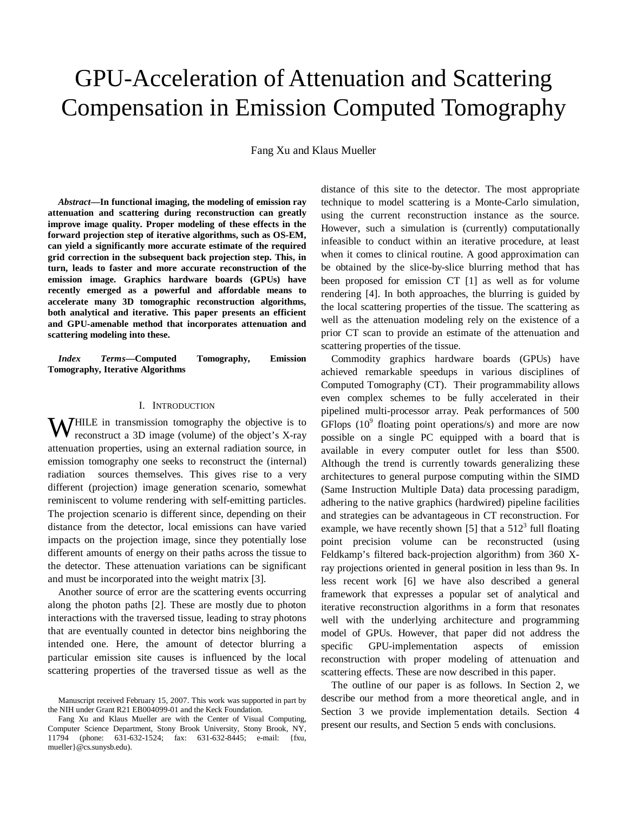# GPU-Acceleration of Attenuation and Scattering Compensation in Emission Computed Tomography

Fang Xu and Klaus Mueller

*Abstract***—In functional imaging, the modeling of emission ray attenuation and scattering during reconstruction can greatly improve image quality. Proper modeling of these effects in the forward projection step of iterative algorithms, such as OS-EM, can yield a significantly more accurate estimate of the required grid correction in the subsequent back projection step. This, in turn, leads to faster and more accurate reconstruction of the emission image. Graphics hardware boards (GPUs) have recently emerged as a powerful and affordable means to accelerate many 3D tomographic reconstruction algorithms, both analytical and iterative. This paper presents an efficient and GPU-amenable method that incorporates attenuation and scattering modeling into these.** 

*Index Terms***—Computed Tomography, Emission Tomography, Iterative Algorithms** 

## I. INTRODUCTION

**W**HILE in transmission tomography the objective is to reconstruct a 3D image (volume) of the object's X-ray reconstruct a 3D image (volume) of the object's X-ray attenuation properties, using an external radiation source, in emission tomography one seeks to reconstruct the (internal) radiation sources themselves. This gives rise to a very different (projection) image generation scenario, somewhat reminiscent to volume rendering with self-emitting particles. The projection scenario is different since, depending on their distance from the detector, local emissions can have varied impacts on the projection image, since they potentially lose different amounts of energy on their paths across the tissue to the detector. These attenuation variations can be significant and must be incorporated into the weight matrix [3].

Another source of error are the scattering events occurring along the photon paths [2]. These are mostly due to photon interactions with the traversed tissue, leading to stray photons that are eventually counted in detector bins neighboring the intended one. Here, the amount of detector blurring a particular emission site causes is influenced by the local scattering properties of the traversed tissue as well as the distance of this site to the detector. The most appropriate technique to model scattering is a Monte-Carlo simulation, using the current reconstruction instance as the source. However, such a simulation is (currently) computationally infeasible to conduct within an iterative procedure, at least when it comes to clinical routine. A good approximation can be obtained by the slice-by-slice blurring method that has been proposed for emission CT [1] as well as for volume rendering [4]. In both approaches, the blurring is guided by the local scattering properties of the tissue. The scattering as well as the attenuation modeling rely on the existence of a prior CT scan to provide an estimate of the attenuation and scattering properties of the tissue.

Commodity graphics hardware boards (GPUs) have achieved remarkable speedups in various disciplines of Computed Tomography (CT). Their programmability allows even complex schemes to be fully accelerated in their pipelined multi-processor array. Peak performances of 500 GFlops  $(10^9)$  floating point operations/s) and more are now possible on a single PC equipped with a board that is available in every computer outlet for less than \$500. Although the trend is currently towards generalizing these architectures to general purpose computing within the SIMD (Same Instruction Multiple Data) data processing paradigm, adhering to the native graphics (hardwired) pipeline facilities and strategies can be advantageous in CT reconstruction. For example, we have recently shown [5] that a  $512<sup>3</sup>$  full floating point precision volume can be reconstructed (using Feldkamp's filtered back-projection algorithm) from 360 Xray projections oriented in general position in less than 9s. In less recent work [6] we have also described a general framework that expresses a popular set of analytical and iterative reconstruction algorithms in a form that resonates well with the underlying architecture and programming model of GPUs. However, that paper did not address the specific GPU-implementation aspects of emission reconstruction with proper modeling of attenuation and scattering effects. These are now described in this paper.

The outline of our paper is as follows. In Section 2, we describe our method from a more theoretical angle, and in Section 3 we provide implementation details. Section 4 present our results, and Section 5 ends with conclusions.

Manuscript received February 15, 2007. This work was supported in part by the NIH under Grant R21 EB004099-01 and the Keck Foundation.

Fang Xu and Klaus Mueller are with the Center of Visual Computing, Computer Science Department, Stony Brook University, Stony Brook, NY, 11794 (phone: 631-632-1524; fax: 631-632-8445; e-mail: {fxu, mueller}@cs.sunysb.edu).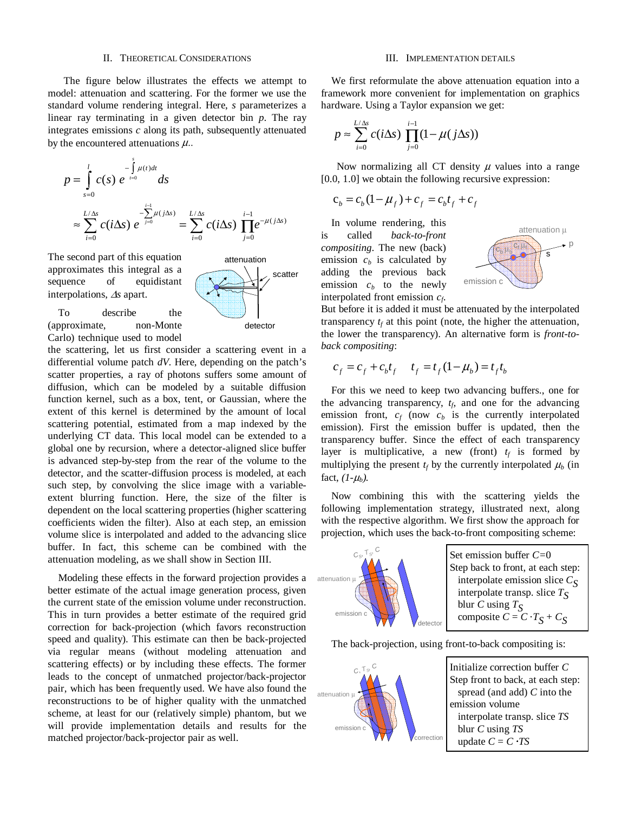# II. THEORETICAL CONSIDERATIONS

 The figure below illustrates the effects we attempt to model: attenuation and scattering. For the former we use the standard volume rendering integral. Here, *s* parameterizes a linear ray terminating in a given detector bin *p*. The ray integrates emissions *c* along its path, subsequently attenuated by the encountered attenuations  $\mu$ ...

$$
p = \int_{s=0}^{l} c(s) e^{-\int_{t=0}^{s} \mu(t)dt} ds
$$
  

$$
\approx \sum_{i=0}^{L/\Delta s} c(i\Delta s) e^{-\sum_{j=0}^{l-1} \mu(j\Delta s)} = \sum_{i=0}^{L/\Delta s} c(i\Delta s) \prod_{j=0}^{i-1} e^{-\mu(j\Delta s)}
$$

The second part of this equation approximates this integral as a sequence of equidistant interpolations, Δ*s* apart.



To describe the (approximate, non-Monte Carlo) technique used to model

the scattering, let us first consider a scattering event in a differential volume patch *dV*. Here, depending on the patch's scatter properties, a ray of photons suffers some amount of diffusion, which can be modeled by a suitable diffusion function kernel, such as a box, tent, or Gaussian, where the extent of this kernel is determined by the amount of local scattering potential, estimated from a map indexed by the underlying CT data. This local model can be extended to a global one by recursion, where a detector-aligned slice buffer is advanced step-by-step from the rear of the volume to the detector, and the scatter-diffusion process is modeled, at each such step, by convolving the slice image with a variableextent blurring function. Here, the size of the filter is dependent on the local scattering properties (higher scattering coefficients widen the filter). Also at each step, an emission volume slice is interpolated and added to the advancing slice buffer. In fact, this scheme can be combined with the attenuation modeling, as we shall show in Section III.

Modeling these effects in the forward projection provides a better estimate of the actual image generation process, given the current state of the emission volume under reconstruction. This in turn provides a better estimate of the required grid correction for back-projection (which favors reconstruction speed and quality). This estimate can then be back-projected via regular means (without modeling attenuation and scattering effects) or by including these effects. The former leads to the concept of unmatched projector/back-projector pair, which has been frequently used. We have also found the reconstructions to be of higher quality with the unmatched scheme, at least for our (relatively simple) phantom, but we will provide implementation details and results for the matched projector/back-projector pair as well.

# III. IMPLEMENTATION DETAILS

We first reformulate the above attenuation equation into a framework more convenient for implementation on graphics hardware. Using a Taylor expansion we get:

$$
p \approx \sum_{i=0}^{L/\Delta s} c(i\Delta s) \prod_{j=0}^{i-1} (1 - \mu(j\Delta s))
$$

Now normalizing all CT density  $\mu$  values into a range [0.0, 1.0] we obtain the following recursive expression:

$$
c_b = c_b (1 - \mu_f) + c_f = c_b t_f + c_f
$$

In volume rendering, this is called *back-to-front compositing*. The new (back) emission  $c<sub>b</sub>$  is calculated by adding the previous back emission  $c_b$  to the newly interpolated front emission *cf*.



But before it is added it must be attenuated by the interpolated transparency  $t_f$  at this point (note, the higher the attenuation, the lower the transparency). An alternative form is *front-toback compositing*:

$$
c_f = c_f + c_b t_f \t t_f = t_f (1 - \mu_b) = t_f t_b
$$

For this we need to keep two advancing buffers., one for the advancing transparency,  $t<sub>6</sub>$  and one for the advancing emission front,  $c_f$  (now  $c_b$  is the currently interpolated emission). First the emission buffer is updated, then the transparency buffer. Since the effect of each transparency layer is multiplicative, a new (front)  $t_f$  is formed by multiplying the present  $t_f$  by the currently interpolated  $\mu_b$  (in fact,  $(I - \mu_b)$ .

Now combining this with the scattering yields the following implementation strategy, illustrated next, along with the respective algorithm. We first show the approach for projection, which uses the back-to-front compositing scheme:



The back-projection, using front-to-back compositing is:

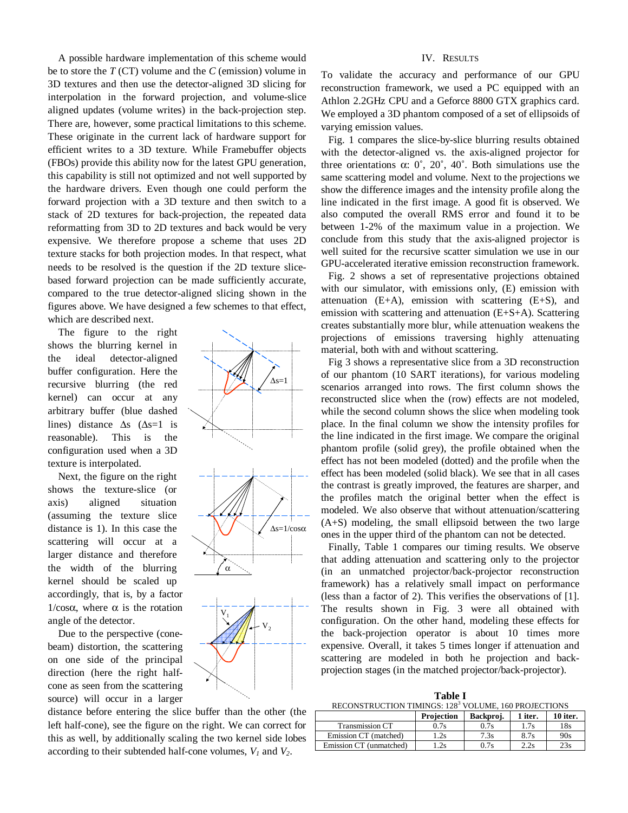A possible hardware implementation of this scheme would be to store the *T* (CT) volume and the *C* (emission) volume in 3D textures and then use the detector-aligned 3D slicing for interpolation in the forward projection, and volume-slice aligned updates (volume writes) in the back-projection step. There are, however, some practical limitations to this scheme. These originate in the current lack of hardware support for efficient writes to a 3D texture. While Framebuffer objects (FBOs) provide this ability now for the latest GPU generation, this capability is still not optimized and not well supported by the hardware drivers. Even though one could perform the forward projection with a 3D texture and then switch to a stack of 2D textures for back-projection, the repeated data reformatting from 3D to 2D textures and back would be very expensive. We therefore propose a scheme that uses 2D texture stacks for both projection modes. In that respect, what needs to be resolved is the question if the 2D texture slicebased forward projection can be made sufficiently accurate, compared to the true detector-aligned slicing shown in the figures above. We have designed a few schemes to that effect, which are described next.

 The figure to the right shows the blurring kernel in the ideal detector-aligned buffer configuration. Here the recursive blurring (the red kernel) can occur at any arbitrary buffer (blue dashed lines) distance  $\Delta s$  ( $\Delta s=1$  is reasonable). This is the configuration used when a 3D texture is interpolated.

Next, the figure on the right shows the texture-slice (or axis) aligned situation (assuming the texture slice distance is 1). In this case the scattering will occur at a larger distance and therefore the width of the blurring kernel should be scaled up accordingly, that is, by a factor  $1/cosα$ , where α is the rotation angle of the detector.

Due to the perspective (conebeam) distortion, the scattering on one side of the principal direction (here the right halfcone as seen from the scattering source) will occur in a larger



# $\Delta$ s=1



# IV. RESULTS

To validate the accuracy and performance of our GPU reconstruction framework, we used a PC equipped with an Athlon 2.2GHz CPU and a Geforce 8800 GTX graphics card. We employed a 3D phantom composed of a set of ellipsoids of varying emission values.

Fig. 1 compares the slice-by-slice blurring results obtained with the detector-aligned vs. the axis-aligned projector for three orientations α:  $0^\circ$ ,  $20^\circ$ ,  $40^\circ$ . Both simulations use the same scattering model and volume. Next to the projections we show the difference images and the intensity profile along the line indicated in the first image. A good fit is observed. We also computed the overall RMS error and found it to be between 1-2% of the maximum value in a projection. We conclude from this study that the axis-aligned projector is well suited for the recursive scatter simulation we use in our GPU-accelerated iterative emission reconstruction framework.

Fig. 2 shows a set of representative projections obtained with our simulator, with emissions only, (E) emission with attenuation  $(E+A)$ , emission with scattering  $(E+S)$ , and emission with scattering and attenuation (E+S+A). Scattering creates substantially more blur, while attenuation weakens the projections of emissions traversing highly attenuating material, both with and without scattering.

Fig 3 shows a representative slice from a 3D reconstruction of our phantom (10 SART iterations), for various modeling scenarios arranged into rows. The first column shows the reconstructed slice when the (row) effects are not modeled, while the second column shows the slice when modeling took place. In the final column we show the intensity profiles for the line indicated in the first image. We compare the original phantom profile (solid grey), the profile obtained when the effect has not been modeled (dotted) and the profile when the effect has been modeled (solid black). We see that in all cases the contrast is greatly improved, the features are sharper, and the profiles match the original better when the effect is modeled. We also observe that without attenuation/scattering (A+S) modeling, the small ellipsoid between the two large ones in the upper third of the phantom can not be detected.

Finally, Table 1 compares our timing results. We observe that adding attenuation and scattering only to the projector (in an unmatched projector/back-projector reconstruction framework) has a relatively small impact on performance (less than a factor of 2). This verifies the observations of [1]. The results shown in Fig. 3 were all obtained with configuration. On the other hand, modeling these effects for the back-projection operator is about 10 times more expensive. Overall, it takes 5 times longer if attenuation and scattering are modeled in both he projection and backprojection stages (in the matched projector/back-projector).

**Table I**

| RECONSTRUCTION TIMINGS: 128 <sup>3</sup> VOLUME, 160 PROJECTIONS |            |           |         |          |
|------------------------------------------------------------------|------------|-----------|---------|----------|
|                                                                  | Projection | Backproj. | 1 iter. | 10 iter. |
| <b>Transmission CT</b>                                           | 0.7s       | 0.7s      | 1.7s    | 18s      |
| Emission CT (matched)                                            | 1.2s       | 7.3s      | 8.7s    | 90s      |
| Emission CT (unmatched)                                          | 1.2s       | 0.7s      | 2.2s    | 23s      |